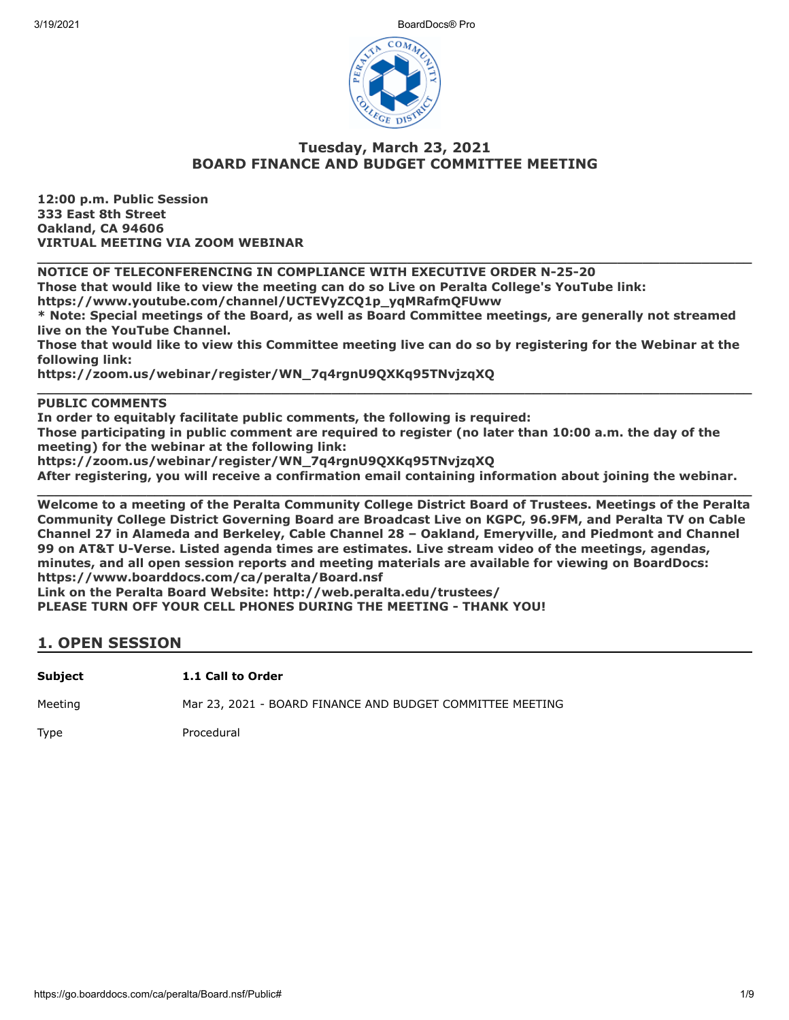3/19/2021 BoardDocs® Pro



### **Tuesday, March 23, 2021 BOARD FINANCE AND BUDGET COMMITTEE MEETING**

**12:00 p.m. Public Session 333 East 8th Street Oakland, CA 94606 VIRTUAL MEETING VIA ZOOM WEBINAR**

**NOTICE OF TELECONFERENCING IN COMPLIANCE WITH EXECUTIVE ORDER N-25-20**

**Those that would like to view the meeting can do so Live on Peralta College's YouTube link:**

**https://www.youtube.com/channel/UCTEVyZCQ1p\_yqMRafmQFUww**

**\* Note: Special meetings of the Board, as well as Board Committee meetings, are generally not streamed live on the YouTube Channel.**

**\_\_\_\_\_\_\_\_\_\_\_\_\_\_\_\_\_\_\_\_\_\_\_\_\_\_\_\_\_\_\_\_\_\_\_\_\_\_\_\_\_\_\_\_\_\_\_\_\_\_\_\_\_\_\_\_\_\_\_\_\_\_\_\_\_\_\_\_\_\_\_\_\_\_\_\_\_\_\_\_\_\_\_\_\_**

**Those that would like to view this Committee meeting live can do so by registering for the Webinar at the following link:**

**\_\_\_\_\_\_\_\_\_\_\_\_\_\_\_\_\_\_\_\_\_\_\_\_\_\_\_\_\_\_\_\_\_\_\_\_\_\_\_\_\_\_\_\_\_\_\_\_\_\_\_\_\_\_\_\_\_\_\_\_\_\_\_\_\_\_\_\_\_\_\_\_\_\_\_\_\_\_\_\_\_\_\_\_\_**

**https://zoom.us/webinar/register/WN\_7q4rgnU9QXKq95TNvjzqXQ**

### **PUBLIC COMMENTS**

**In order to equitably facilitate public comments, the following is required:**

**Those participating in public comment are required to register (no later than 10:00 a.m. the day of the meeting) for the webinar at the following link:**

**https://zoom.us/webinar/register/WN\_7q4rgnU9QXKq95TNvjzqXQ**

**After registering, you will receive a confirmation email containing information about joining the webinar.**

**\_\_\_\_\_\_\_\_\_\_\_\_\_\_\_\_\_\_\_\_\_\_\_\_\_\_\_\_\_\_\_\_\_\_\_\_\_\_\_\_\_\_\_\_\_\_\_\_\_\_\_\_\_\_\_\_\_\_\_\_\_\_\_\_\_\_\_\_\_\_\_\_\_\_\_\_\_\_\_\_\_\_\_\_\_ Welcome to a meeting of the Peralta Community College District Board of Trustees. Meetings of the Peralta Community College District Governing Board are Broadcast Live on KGPC, 96.9FM, and Peralta TV on Cable Channel 27 in Alameda and Berkeley, Cable Channel 28 – Oakland, Emeryville, and Piedmont and Channel 99 on AT&T U-Verse. Listed agenda times are estimates. Live stream video of the meetings, agendas, minutes, and all open session reports and meeting materials are available for viewing on BoardDocs: https://www.boarddocs.com/ca/peralta/Board.nsf**

**Link on the Peralta Board Website: http://web.peralta.edu/trustees/**

**PLEASE TURN OFF YOUR CELL PHONES DURING THE MEETING - THANK YOU!**

### **1. OPEN SESSION**

**Subject 1.1 Call to Order**

Meeting Mar 23, 2021 - BOARD FINANCE AND BUDGET COMMITTEE MEETING

Type Procedural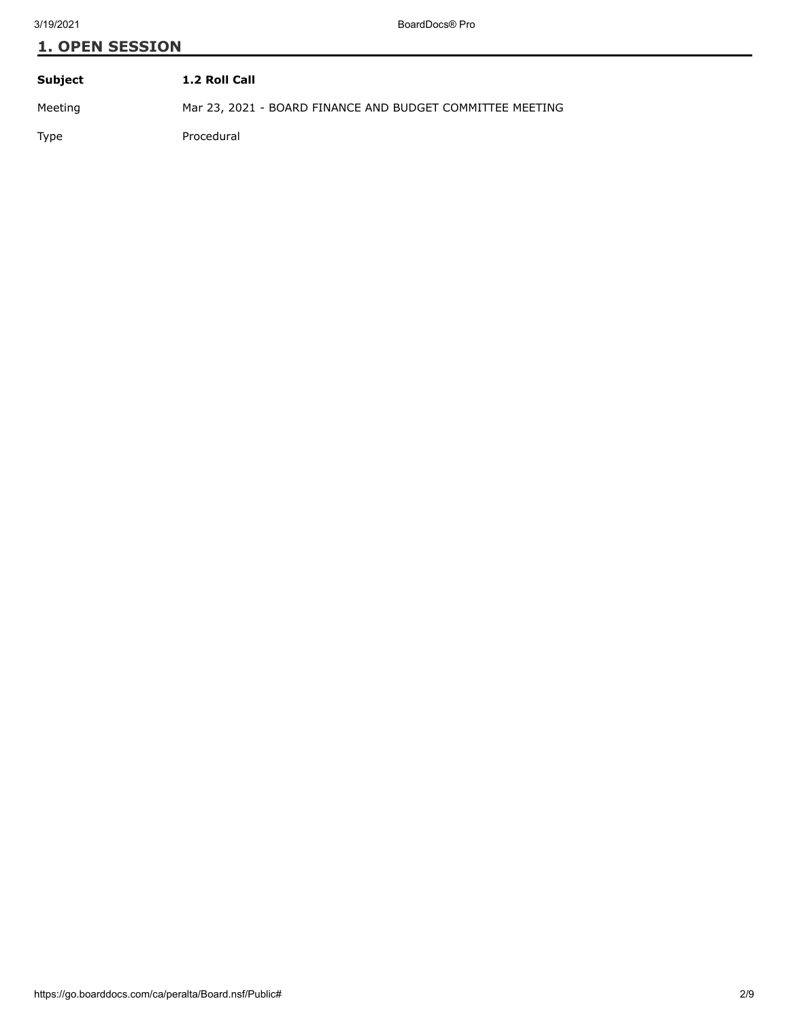| Subject     | 1.2 Roll Call                                             |
|-------------|-----------------------------------------------------------|
| Meeting     | Mar 23, 2021 - BOARD FINANCE AND BUDGET COMMITTEE MEETING |
| <b>Type</b> | Procedural                                                |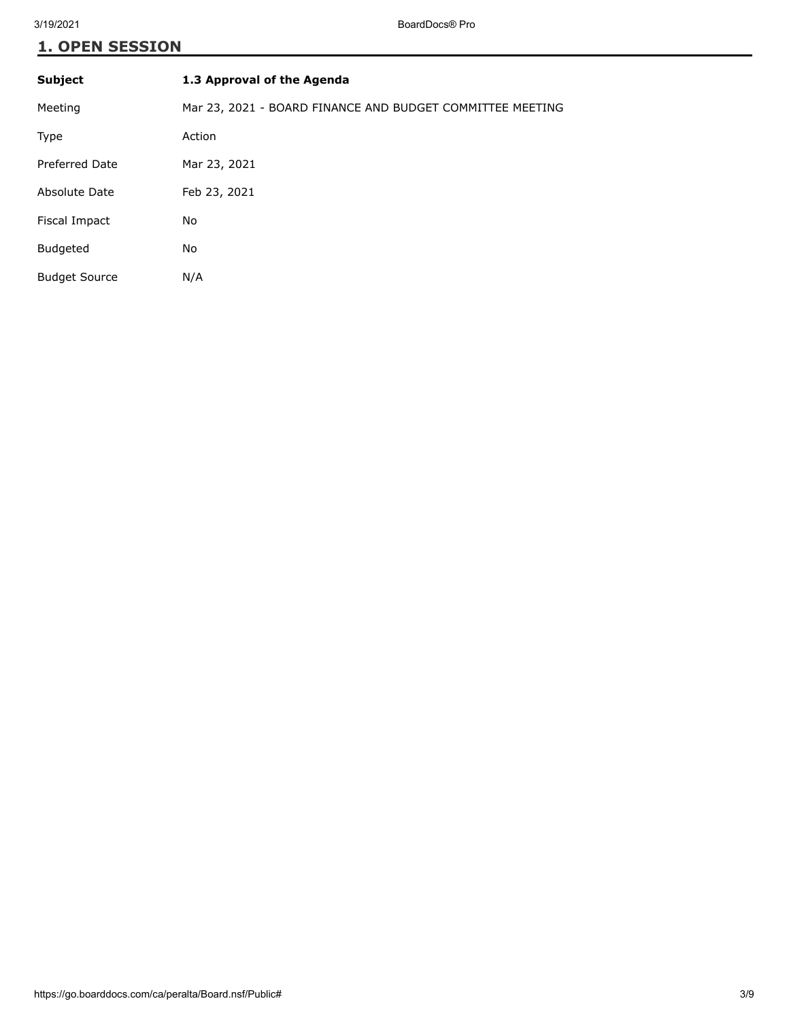| <b>Subject</b>       | 1.3 Approval of the Agenda                                |
|----------------------|-----------------------------------------------------------|
| Meeting              | Mar 23, 2021 - BOARD FINANCE AND BUDGET COMMITTEE MEETING |
| Type                 | Action                                                    |
| Preferred Date       | Mar 23, 2021                                              |
| Absolute Date        | Feb 23, 2021                                              |
| Fiscal Impact        | No                                                        |
| <b>Budgeted</b>      | No                                                        |
| <b>Budget Source</b> | N/A                                                       |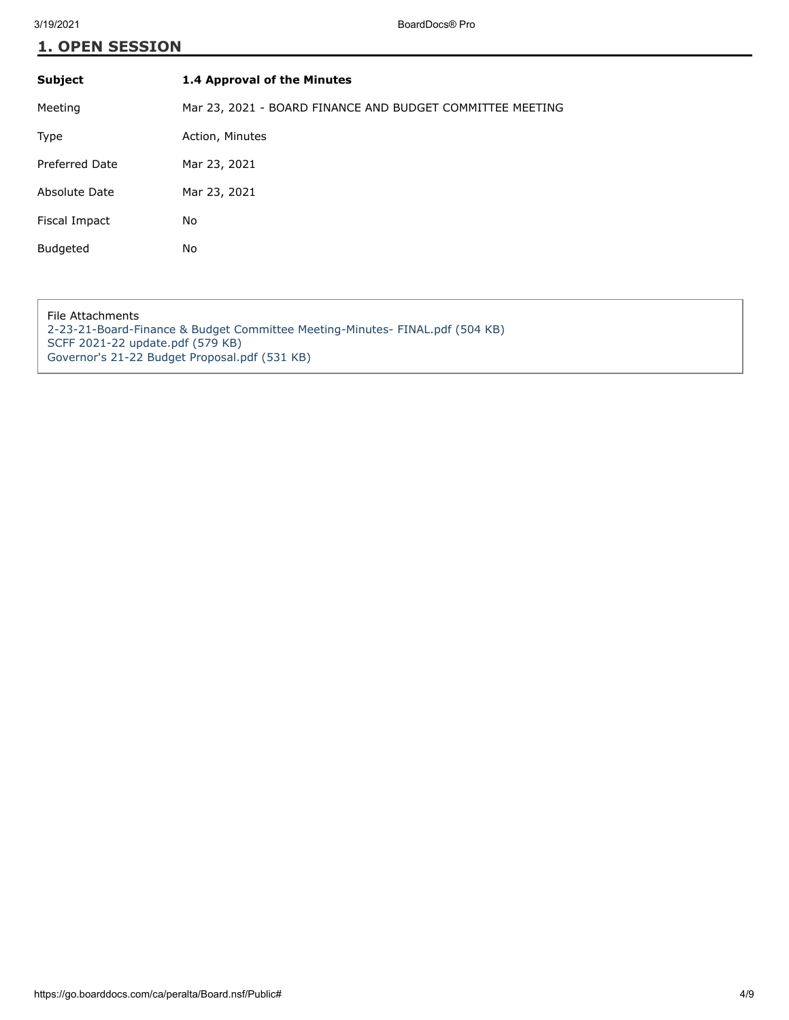| <b>Subject</b>  | 1.4 Approval of the Minutes                               |
|-----------------|-----------------------------------------------------------|
| Meeting         | Mar 23, 2021 - BOARD FINANCE AND BUDGET COMMITTEE MEETING |
| Type            | Action, Minutes                                           |
| Preferred Date  | Mar 23, 2021                                              |
| Absolute Date   | Mar 23, 2021                                              |
| Fiscal Impact   | No                                                        |
| <b>Budgeted</b> | No                                                        |

File Attachments [2-23-21-Board-Finance & Budget Committee Meeting-Minutes- FINAL.pdf \(504 KB\)](https://go.boarddocs.com/ca/peralta/Board.nsf/files/BZA2UQ03E817/$file/2-23-21-Board-Finance%20%26%20Budget%20Committee%20Meeting-Minutes-%20FINAL.pdf) [SCFF 2021-22 update.pdf \(579 KB\)](https://go.boarddocs.com/ca/peralta/Board.nsf/files/BZA2UU03ED36/$file/SCFF%202021-22%20update.pdf) [Governor's 21-22 Budget Proposal.pdf \(531 KB\)](https://go.boarddocs.com/ca/peralta/Board.nsf/files/BZA2UY03F1EA/$file/Governor)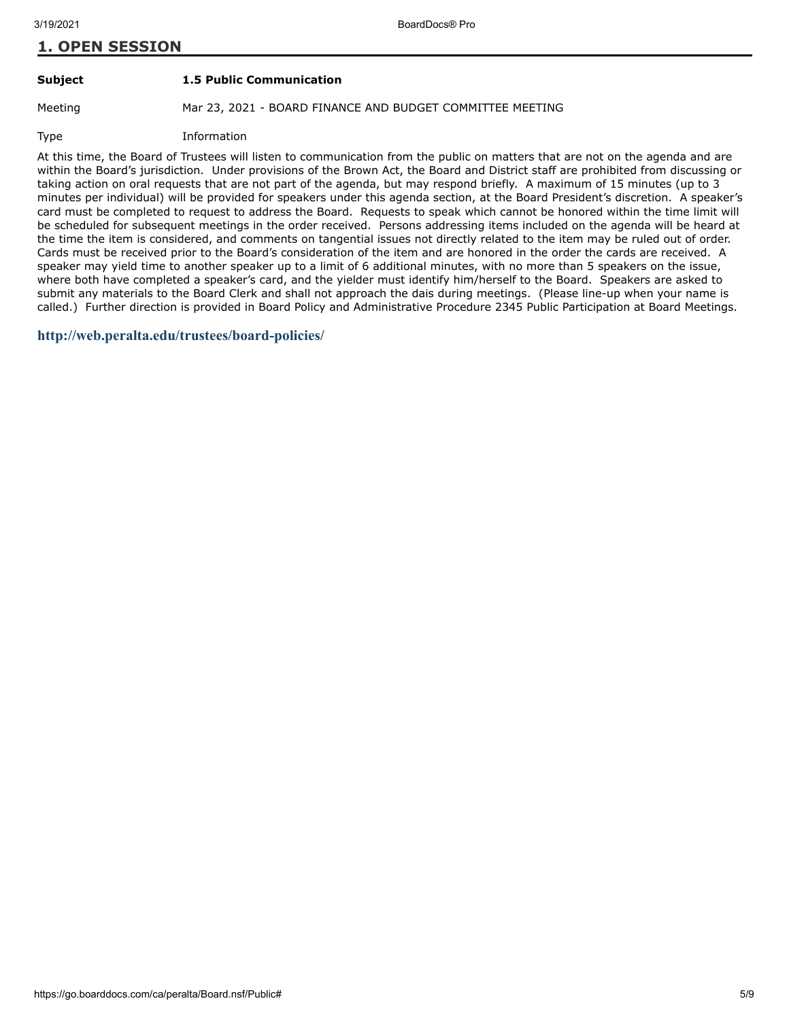#### **Subject 1.5 Public Communication**

Meeting Mar 23, 2021 - BOARD FINANCE AND BUDGET COMMITTEE MEETING

Type Information

At this time, the Board of Trustees will listen to communication from the public on matters that are not on the agenda and are within the Board's jurisdiction. Under provisions of the Brown Act, the Board and District staff are prohibited from discussing or taking action on oral requests that are not part of the agenda, but may respond briefly. A maximum of 15 minutes (up to 3 minutes per individual) will be provided for speakers under this agenda section, at the Board President's discretion. A speaker's card must be completed to request to address the Board. Requests to speak which cannot be honored within the time limit will be scheduled for subsequent meetings in the order received. Persons addressing items included on the agenda will be heard at the time the item is considered, and comments on tangential issues not directly related to the item may be ruled out of order. Cards must be received prior to the Board's consideration of the item and are honored in the order the cards are received. A speaker may yield time to another speaker up to a limit of 6 additional minutes, with no more than 5 speakers on the issue, where both have completed a speaker's card, and the yielder must identify him/herself to the Board. Speakers are asked to submit any materials to the Board Clerk and shall not approach the dais during meetings. (Please line-up when your name is called.) Further direction is provided in Board Policy and Administrative Procedure 2345 Public Participation at Board Meetings.

#### **<http://web.peralta.edu/trustees/board-policies/>**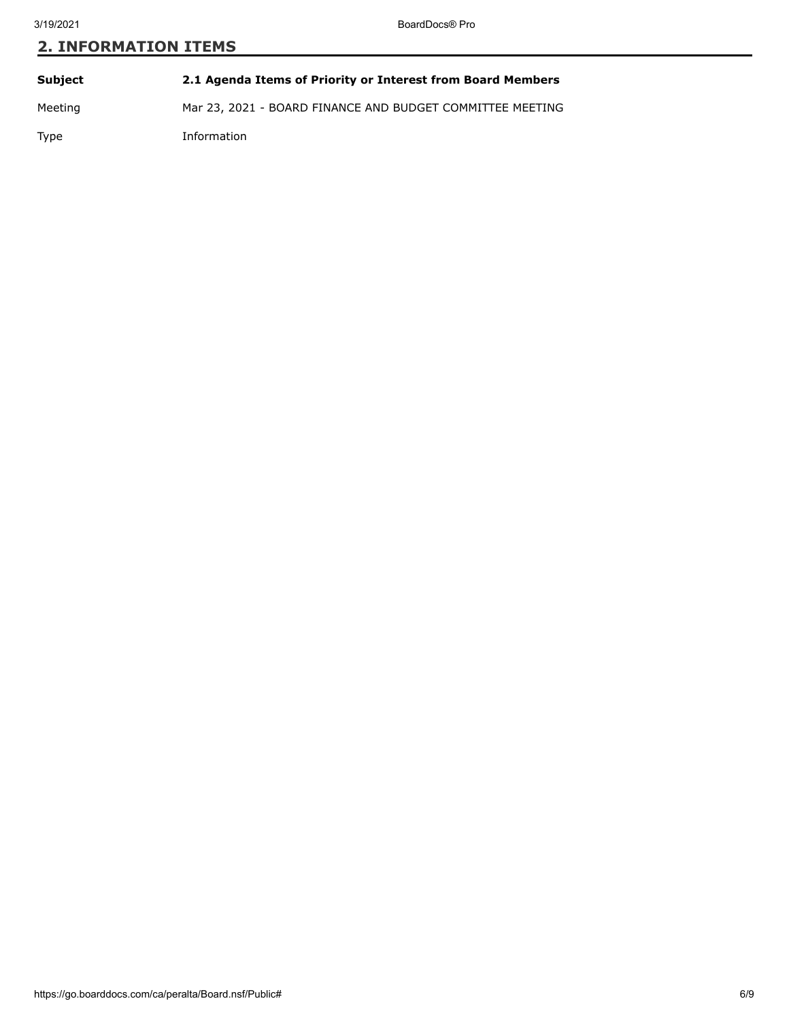# **2. INFORMATION ITEMS**

| Subject | 2.1 Agenda Items of Priority or Interest from Board Members |
|---------|-------------------------------------------------------------|
| Meeting | Mar 23, 2021 - BOARD FINANCE AND BUDGET COMMITTEE MEETING   |
| Type    | Information                                                 |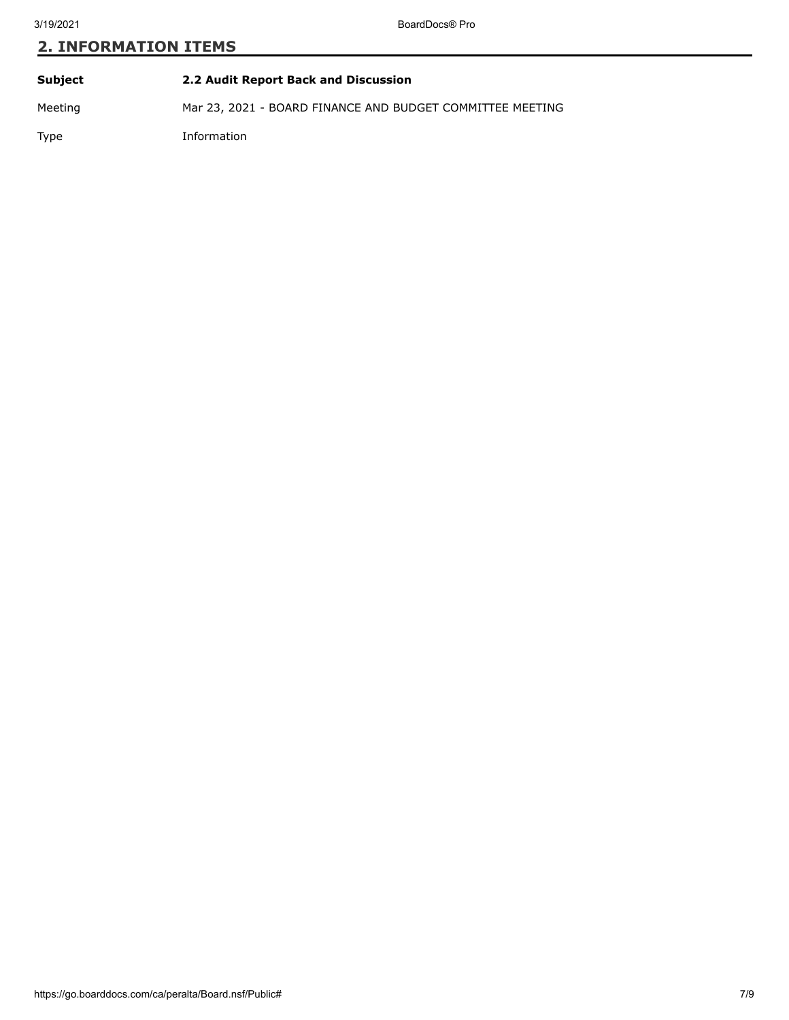# **2. INFORMATION ITEMS**

| Subject | 2.2 Audit Report Back and Discussion                      |
|---------|-----------------------------------------------------------|
| Meeting | Mar 23, 2021 - BOARD FINANCE AND BUDGET COMMITTEE MEETING |
| Type    | Information                                               |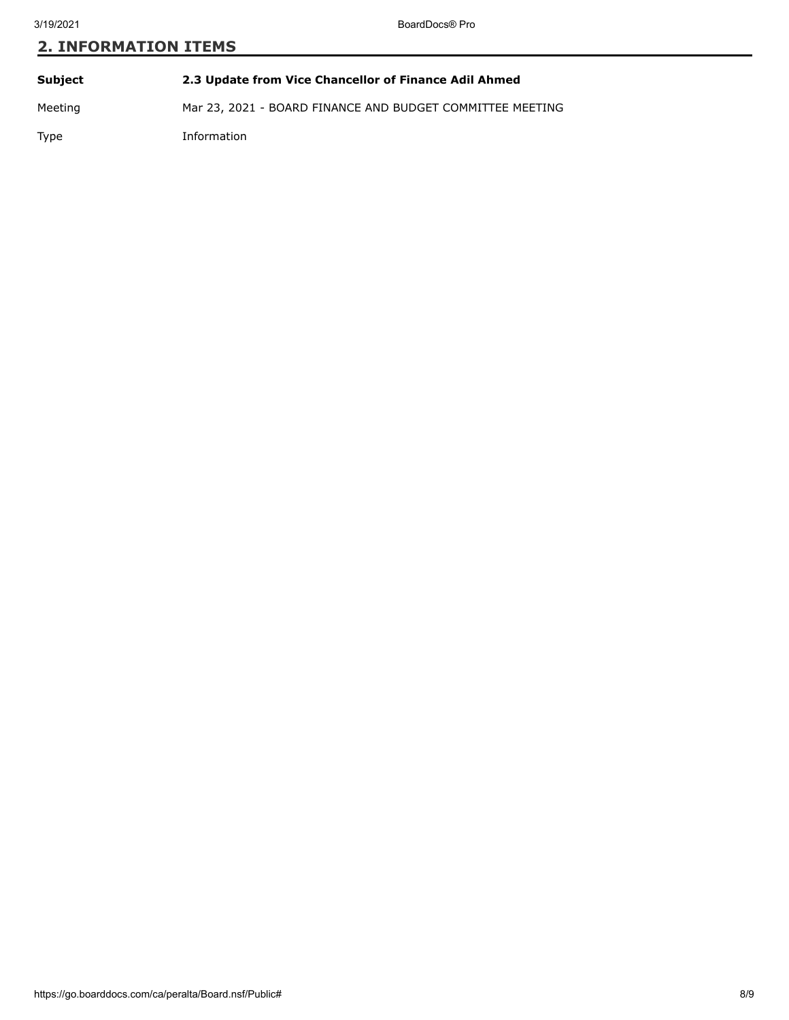# **2. INFORMATION ITEMS**

| Subject | 2.3 Update from Vice Chancellor of Finance Adil Ahmed     |
|---------|-----------------------------------------------------------|
| Meeting | Mar 23, 2021 - BOARD FINANCE AND BUDGET COMMITTEE MEETING |
| Type    | Information                                               |

https://go.boarddocs.com/ca/peralta/Board.nsf/Public# 8/9